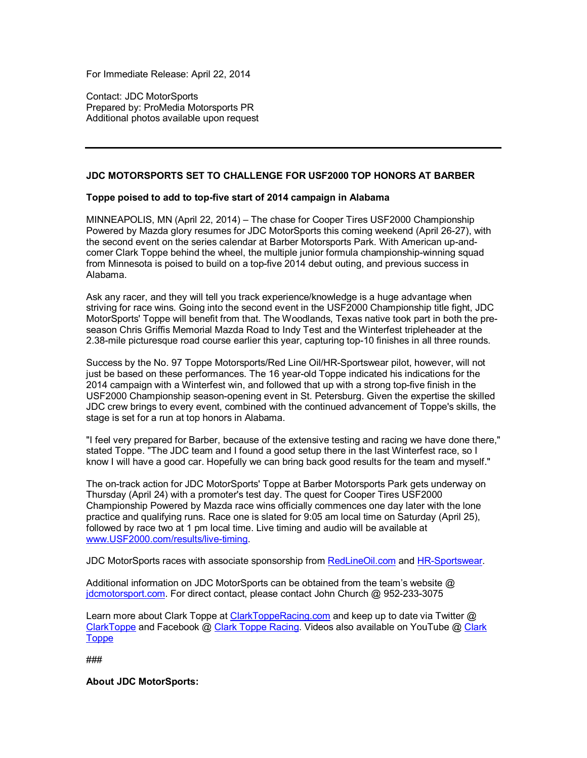For Immediate Release: April 22, 2014

Contact: JDC MotorSports Prepared by: ProMedia Motorsports PR Additional photos available upon request

## **JDC MOTORSPORTS SET TO CHALLENGE FOR USF2000 TOP HONORS AT BARBER**

## **Toppe poised to add to top-five start of 2014 campaign in Alabama**

MINNEAPOLIS, MN (April 22, 2014) – The chase for Cooper Tires USF2000 Championship Powered by Mazda glory resumes for JDC MotorSports this coming weekend (April 26-27), with the second event on the series calendar at Barber Motorsports Park. With American up-andcomer Clark Toppe behind the wheel, the multiple junior formula championship-winning squad from Minnesota is poised to build on a top-five 2014 debut outing, and previous success in Alabama.

Ask any racer, and they will tell you track experience/knowledge is a huge advantage when striving for race wins. Going into the second event in the USF2000 Championship title fight, JDC MotorSports' Toppe will benefit from that. The Woodlands, Texas native took part in both the preseason Chris Griffis Memorial Mazda Road to Indy Test and the Winterfest tripleheader at the 2.38-mile picturesque road course earlier this year, capturing top-10 finishes in all three rounds.

Success by the No. 97 Toppe Motorsports/Red Line Oil/HR-Sportswear pilot, however, will not just be based on these performances. The 16 year-old Toppe indicated his indications for the 2014 campaign with a Winterfest win, and followed that up with a strong top-five finish in the USF2000 Championship season-opening event in St. Petersburg. Given the expertise the skilled JDC crew brings to every event, combined with the continued advancement of Toppe's skills, the stage is set for a run at top honors in Alabama.

"I feel very prepared for Barber, because of the extensive testing and racing we have done there," stated Toppe. "The JDC team and I found a good setup there in the last Winterfest race, so I know I will have a good car. Hopefully we can bring back good results for the team and myself."

The on-track action for JDC MotorSports' Toppe at Barber Motorsports Park gets underway on Thursday (April 24) with a promoter's test day. The quest for Cooper Tires USF2000 Championship Powered by Mazda race wins officially commences one day later with the lone practice and qualifying runs. Race one is slated for 9:05 am local time on Saturday (April 25), followed by race two at 1 pm local time. Live timing and audio will be available at www.USF2000.com/results/live-timing.

JDC MotorSports races with associate sponsorship from RedLineOil.com and HR-Sportswear.

Additional information on JDC MotorSports can be obtained from the team's website @ jdcmotorsport.com. For direct contact, please contact John Church @ 952-233-3075

Learn more about Clark Toppe at ClarkToppeRacing.com and keep up to date via Twitter @ ClarkToppe and Facebook @ Clark Toppe Racing. Videos also available on YouTube @ Clark **Toppe** 

###

**About JDC MotorSports:**